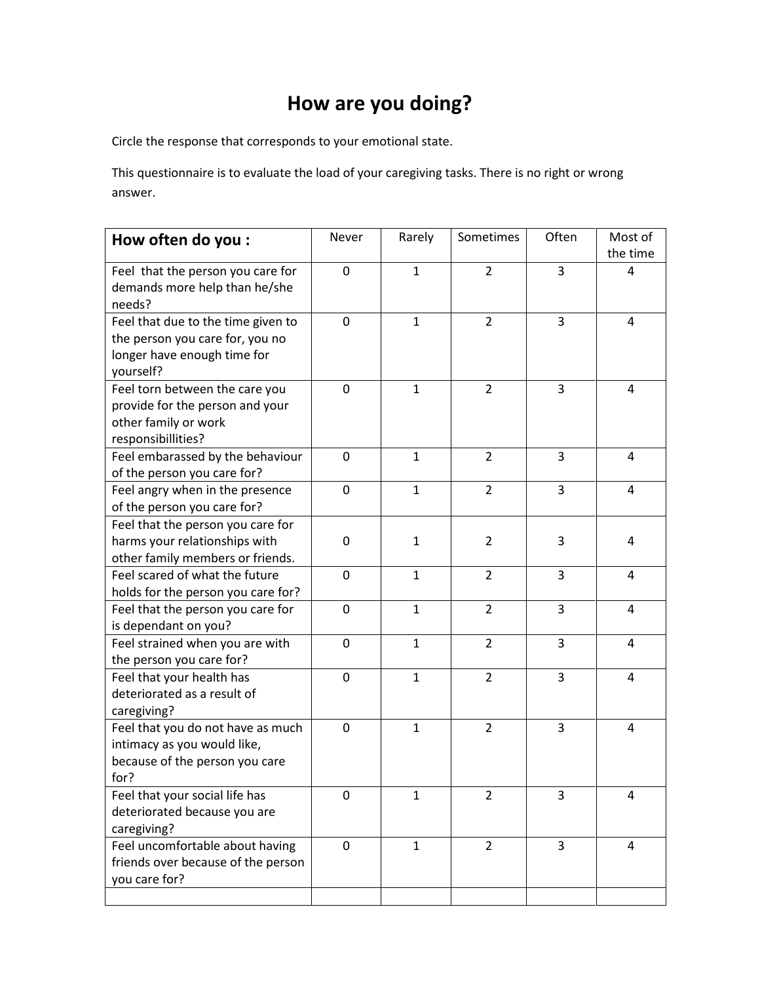## **How are you doing?**

Circle the response that corresponds to your emotional state.

This questionnaire is to evaluate the load of your caregiving tasks. There is no right or wrong answer.

| How often do you:                                                                                                 | Never          | Rarely       | Sometimes      | Often | Most of<br>the time |
|-------------------------------------------------------------------------------------------------------------------|----------------|--------------|----------------|-------|---------------------|
| Feel that the person you care for<br>demands more help than he/she<br>needs?                                      | 0              | $\mathbf{1}$ | $\overline{2}$ | 3     | 4                   |
| Feel that due to the time given to<br>the person you care for, you no<br>longer have enough time for<br>yourself? | $\mathbf 0$    | $\mathbf{1}$ | $\overline{2}$ | 3     | 4                   |
| Feel torn between the care you<br>provide for the person and your<br>other family or work<br>responsibillities?   | 0              | $\mathbf{1}$ | $\overline{2}$ | 3     | 4                   |
| Feel embarassed by the behaviour<br>of the person you care for?                                                   | $\overline{0}$ | $\mathbf{1}$ | $\overline{2}$ | 3     | 4                   |
| Feel angry when in the presence<br>of the person you care for?                                                    | 0              | $\mathbf{1}$ | $\overline{2}$ | 3     | 4                   |
| Feel that the person you care for<br>harms your relationships with<br>other family members or friends.            | 0              | 1            | $\overline{2}$ | 3     | 4                   |
| Feel scared of what the future<br>holds for the person you care for?                                              | 0              | $\mathbf{1}$ | $\overline{2}$ | 3     | 4                   |
| Feel that the person you care for<br>is dependant on you?                                                         | 0              | $\mathbf{1}$ | $\overline{2}$ | 3     | 4                   |
| Feel strained when you are with<br>the person you care for?                                                       | 0              | $\mathbf{1}$ | $\overline{2}$ | 3     | 4                   |
| Feel that your health has<br>deteriorated as a result of<br>caregiving?                                           | 0              | $\mathbf{1}$ | $\overline{2}$ | 3     | 4                   |
| Feel that you do not have as much<br>intimacy as you would like,<br>because of the person you care<br>for?        | 0              | $\mathbf{1}$ | $\overline{2}$ | 3     | 4                   |
| Feel that your social life has<br>deteriorated because you are<br>caregiving?                                     | 0              | 1            | $\overline{2}$ | 3     | 4                   |
| Feel uncomfortable about having<br>friends over because of the person<br>you care for?                            | 0              | $\mathbf{1}$ | $\overline{2}$ | 3     | $\overline{4}$      |
|                                                                                                                   |                |              |                |       |                     |